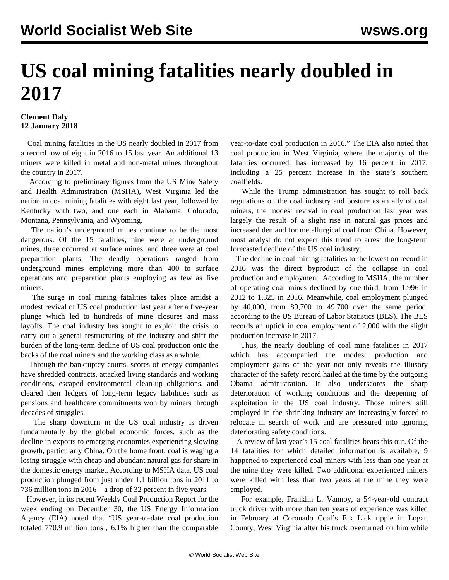## **US coal mining fatalities nearly doubled in 2017**

## **Clement Daly 12 January 2018**

 Coal mining fatalities in the US nearly doubled in 2017 from a record low of eight in 2016 to 15 last year. An additional 13 miners were killed in metal and non-metal mines throughout the country in 2017.

 According to preliminary figures from the US Mine Safety and Health Administration (MSHA), West Virginia led the nation in coal mining fatalities with eight last year, followed by Kentucky with two, and one each in Alabama, Colorado, Montana, Pennsylvania, and Wyoming.

 The nation's underground mines continue to be the most dangerous. Of the 15 fatalities, nine were at underground mines, three occurred at surface mines, and three were at coal preparation plants. The deadly operations ranged from underground mines employing more than 400 to surface operations and preparation plants employing as few as five miners.

 The surge in coal mining fatalities takes place amidst a modest revival of US coal production last year after a five-year plunge which led to hundreds of mine closures and mass layoffs. The coal industry has sought to exploit the crisis to carry out a general restructuring of the industry and shift the burden of the long-term decline of US coal production onto the backs of the coal miners and the working class as a whole.

 Through the bankruptcy courts, scores of energy companies have shredded contracts, attacked living standards and working conditions, escaped environmental clean-up obligations, and cleared their ledgers of long-term legacy liabilities such as pensions and healthcare commitments won by miners through decades of struggles.

 The sharp downturn in the US coal industry is driven fundamentally by the global economic forces, such as the decline in exports to emerging economies experiencing slowing growth, particularly China. On the home front, coal is waging a losing struggle with cheap and abundant natural gas for share in the domestic energy market. According to MSHA data, US coal production plunged from just under 1.1 billion tons in 2011 to 736 million tons in 2016 – a drop of 32 percent in five years.

 However, in its recent Weekly Coal Production Report for the week ending on December 30, the US Energy Information Agency (EIA) noted that "US year-to-date coal production totaled 770.9[million tons], 6.1% higher than the comparable year-to-date coal production in 2016." The EIA also noted that coal production in West Virginia, where the majority of the fatalities occurred, has increased by 16 percent in 2017, including a 25 percent increase in the state's southern coalfields.

 While the Trump administration has sought to roll back regulations on the coal industry and posture as an ally of coal miners, the modest revival in coal production last year was largely the result of a slight rise in natural gas prices and increased demand for metallurgical coal from China. However, most analyst do not expect this trend to arrest the long-term forecasted decline of the US coal industry.

 The decline in coal mining fatalities to the lowest on record in 2016 was the direct byproduct of the collapse in coal production and employment. According to MSHA, the number of operating coal mines declined by one-third, from 1,996 in 2012 to 1,325 in 2016. Meanwhile, coal employment plunged by 40,000, from 89,700 to 49,700 over the same period, according to the US Bureau of Labor Statistics (BLS). The BLS records an uptick in coal employment of 2,000 with the slight production increase in 2017.

 Thus, the nearly doubling of coal mine fatalities in 2017 which has accompanied the modest production and employment gains of the year not only reveals the illusory character of the safety record hailed at the time by the outgoing Obama administration. It also underscores the sharp deterioration of working conditions and the deepening of exploitation in the US coal industry. Those miners still employed in the shrinking industry are increasingly forced to relocate in search of work and are pressured into ignoring deteriorating safety conditions.

 A review of last year's 15 coal fatalities bears this out. Of the 14 fatalities for which detailed information is available, 9 happened to experienced coal miners with less than one year at the mine they were killed. Two additional experienced miners were killed with less than two years at the mine they were employed.

 For example, Franklin L. Vannoy, a 54-year-old contract truck driver with more than ten years of experience was killed in February at Coronado Coal's Elk Lick tipple in Logan County, West Virginia after his truck overturned on him while